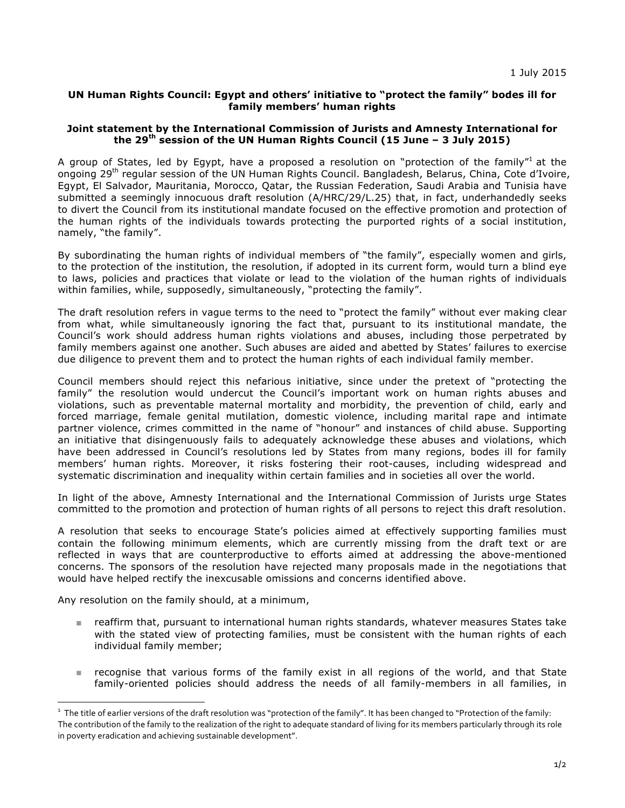## **UN Human Rights Council: Egypt and others' initiative to "protect the family" bodes ill for family members' human rights**

## **Joint statement by the International Commission of Jurists and Amnesty International for the 29th session of the UN Human Rights Council (15 June – 3 July 2015)**

A group of States, led by Egypt, have a proposed a resolution on "protection of the family"<sup>1</sup> at the ongoing 29<sup>th</sup> regular session of the UN Human Rights Council. Bangladesh, Belarus, China, Cote d'Ivoire, Egypt, El Salvador, Mauritania, Morocco, Qatar, the Russian Federation, Saudi Arabia and Tunisia have submitted a seemingly innocuous draft resolution (A/HRC/29/L.25) that, in fact, underhandedly seeks to divert the Council from its institutional mandate focused on the effective promotion and protection of the human rights of the individuals towards protecting the purported rights of a social institution, namely, "the family".

By subordinating the human rights of individual members of "the family", especially women and girls, to the protection of the institution, the resolution, if adopted in its current form, would turn a blind eye to laws, policies and practices that violate or lead to the violation of the human rights of individuals within families, while, supposedly, simultaneously, "protecting the family".

The draft resolution refers in vague terms to the need to "protect the family" without ever making clear from what, while simultaneously ignoring the fact that, pursuant to its institutional mandate, the Council's work should address human rights violations and abuses, including those perpetrated by family members against one another. Such abuses are aided and abetted by States' failures to exercise due diligence to prevent them and to protect the human rights of each individual family member.

Council members should reject this nefarious initiative, since under the pretext of "protecting the family" the resolution would undercut the Council's important work on human rights abuses and violations, such as preventable maternal mortality and morbidity, the prevention of child, early and forced marriage, female genital mutilation, domestic violence, including marital rape and intimate partner violence, crimes committed in the name of "honour" and instances of child abuse. Supporting an initiative that disingenuously fails to adequately acknowledge these abuses and violations, which have been addressed in Council's resolutions led by States from many regions, bodes ill for family members' human rights. Moreover, it risks fostering their root-causes, including widespread and systematic discrimination and inequality within certain families and in societies all over the world.

In light of the above, Amnesty International and the International Commission of Jurists urge States committed to the promotion and protection of human rights of all persons to reject this draft resolution.

A resolution that seeks to encourage State's policies aimed at effectively supporting families must contain the following minimum elements, which are currently missing from the draft text or are reflected in ways that are counterproductive to efforts aimed at addressing the above-mentioned concerns. The sponsors of the resolution have rejected many proposals made in the negotiations that would have helped rectify the inexcusable omissions and concerns identified above.

Any resolution on the family should, at a minimum,

- n reaffirm that, pursuant to international human rights standards, whatever measures States take with the stated view of protecting families, must be consistent with the human rights of each individual family member;
- n recognise that various forms of the family exist in all regions of the world, and that State family-oriented policies should address the needs of all family-members in all families, in

<sup>&</sup>lt;sup>1</sup> The title of earlier versions of the draft resolution was "protection of the family". It has been changed to "Protection of the family: The contribution of the family to the realization of the right to adequate standard of living for its members particularly through its role in poverty eradication and achieving sustainable development".